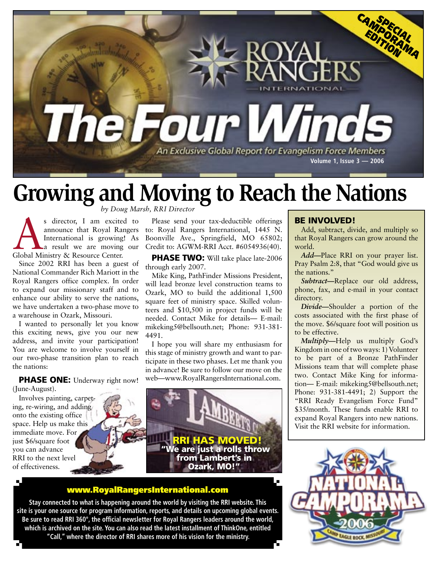

## **Growing and Moving to Reach the Nations**

*by Doug Marsh, RRI Director*

s director, I am excited to announce that Royal Rangers<br>International is growing! As<br>Global Ministry & Resource Center. announce that Royal Rangers International is growing! As a result we are moving our

Since 2002 RRI has been a guest of National Commander Rich Mariott in the Royal Rangers office complex. In order to expand our missionary staff and to enhance our ability to serve the nations, we have undertaken a two-phase move to a warehouse in Ozark, Missouri.

I wanted to personally let you know this exciting news, give you our new address, and invite your participation! You are welcome to involve yourself in our two-phase transition plan to reach the nations:

PHASE ONE: Underway right now! (June-August).

Involves painting, carpeting, re-wiring, and adding onto the existing office space. Help us make this immediate move. For just \$6/square foot you can advance RRI to the next level of effectiveness.

Please send your tax-deductible offerings to: Royal Rangers International, 1445 N. Boonville Ave., Springfield, MO 65802; Credit to: AGWM-RRI Acct. #6054936(40).

PHASE TWO: Will take place late-2006 through early 2007.

Mike King, PathFinder Missions President, will lead bronze level construction teams to Ozark, MO to build the additional 1,500 square feet of ministry space. Skilled volunteers and \$10,500 in project funds will be needed. Contact Mike for details— E-mail: mikeking5@bellsouth.net; Phone: 931-381- 4491.

I hope you will share my enthusiasm for this stage of ministry growth and want to participate in these two phases. Let me thank you in advance! Be sure to follow our move on the web—www.RoyalRangersInternational.com.



## <www.RoyalRangersInternational.com>

**Stay connected to what is happening around the world by visiting the RRI website. This site is your one source for program information, reports, and details on upcoming global events. Be sure to read RRI 360°, the official newsletter for Royal Rangers leaders around the world, which is archived on the site. You can also read the latest installment of ThinkOne, entitled "Call," where the director of RRI shares more of his vision for the ministry.**

## BE INVOLVED!

Add, subtract, divide, and multiply so that Royal Rangers can grow around the world.

*Add—*Place RRI on your prayer list. Pray Psalm 2:8, that "God would give us the nations."

*Subtract—*Replace our old address, phone, fax, and e-mail in your contact directory.

*Divide—*Shoulder a portion of the costs associated with the first phase of the move. \$6/square foot will position us to be effective.

*Multiply—*Help us multiply God's Kingdom in one of two ways: 1) Volunteer to be part of a Bronze PathFinder Missions team that will complete phase two. Contact Mike King for information— E-mail: mikeking5@bellsouth.net; Phone: 931-381-4491; 2) Support the "RRI Ready Evangelism Force Fund" \$35/month. These funds enable RRI to expand Royal Rangers into new nations. Visit the RRI website for information.